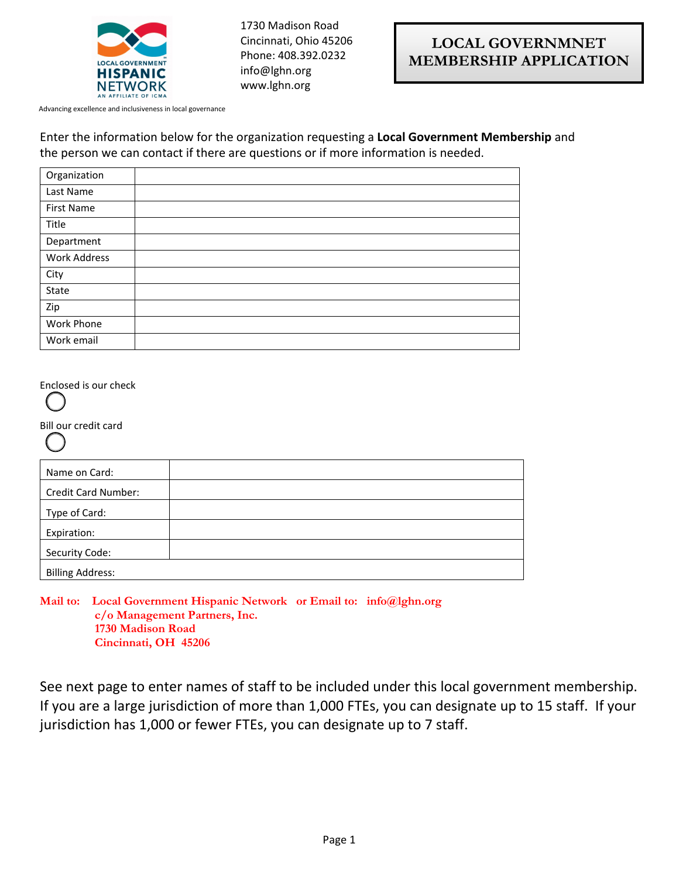

1730 Madison Road Cincinnati, Ohio 45206 Phone: 408.392.0232 info@lghn.org www.lghn.org

Advancing excellence and inclusiveness in local governance

## Enter the information below for the organization requesting a **Local Government Membership** and the person we can contact if there are questions or if more information is needed.

| Organization      |  |
|-------------------|--|
| Last Name         |  |
| <b>First Name</b> |  |
| Title             |  |
| Department        |  |
| Work Address      |  |
| City              |  |
| State             |  |
| Zip               |  |
| Work Phone        |  |
| Work email        |  |

Enclosed is our check

Bill our credit card

| Name on Card:       |
|---------------------|
| Credit Card Number: |
| Type of Card:       |
| Expiration:         |
|                     |

Billing Address:

Security Code:

**Mail to: Local Government Hispanic Network or Email to: info@lghn.org c/o Management Partners, Inc. 1730 Madison Road Cincinnati, OH 45206**

See next page to enter names of staff to be included under this local government membership. If you are a large jurisdiction of more than 1,000 FTEs, you can designate up to 15 staff. If your jurisdiction has 1,000 or fewer FTEs, you can designate up to 7 staff.